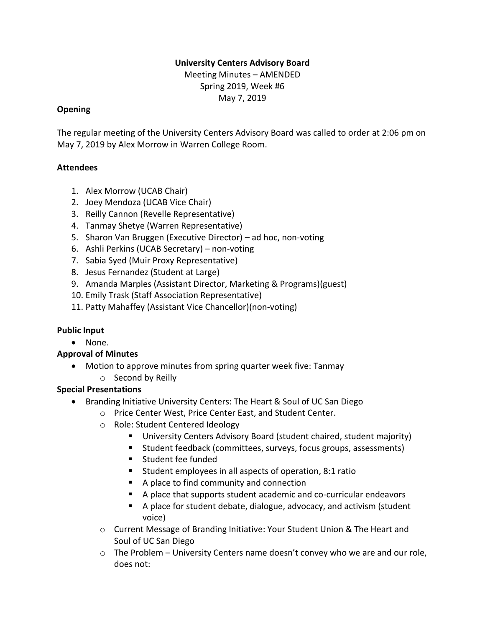## **University Centers Advisory Board**

Meeting Minutes – AMENDED Spring 2019, Week #6 May 7, 2019

### **Opening**

The regular meeting of the University Centers Advisory Board was called to order at 2:06 pm on May 7, 2019 by Alex Morrow in Warren College Room.

## **Attendees**

- 1. Alex Morrow (UCAB Chair)
- 2. Joey Mendoza (UCAB Vice Chair)
- 3. Reilly Cannon (Revelle Representative)
- 4. Tanmay Shetye (Warren Representative)
- 5. Sharon Van Bruggen (Executive Director) ad hoc, non-voting
- 6. Ashli Perkins (UCAB Secretary) non-voting
- 7. Sabia Syed (Muir Proxy Representative)
- 8. Jesus Fernandez (Student at Large)
- 9. Amanda Marples (Assistant Director, Marketing & Programs)(guest)
- 10. Emily Trask (Staff Association Representative)
- 11. Patty Mahaffey (Assistant Vice Chancellor)(non-voting)

## **Public Input**

• None.

## **Approval of Minutes**

• Motion to approve minutes from spring quarter week five: Tanmay o Second by Reilly

## **Special Presentations**

- Branding Initiative University Centers: The Heart & Soul of UC San Diego
	- o Price Center West, Price Center East, and Student Center.
	- o Role: Student Centered Ideology
		- University Centers Advisory Board (student chaired, student majority)
		- Student feedback (committees, surveys, focus groups, assessments)
		- Student fee funded
		- Student employees in all aspects of operation, 8:1 ratio
		- A place to find community and connection
		- A place that supports student academic and co-curricular endeavors
		- A place for student debate, dialogue, advocacy, and activism (student voice)
	- o Current Message of Branding Initiative: Your Student Union & The Heart and Soul of UC San Diego
	- $\circ$  The Problem University Centers name doesn't convey who we are and our role, does not: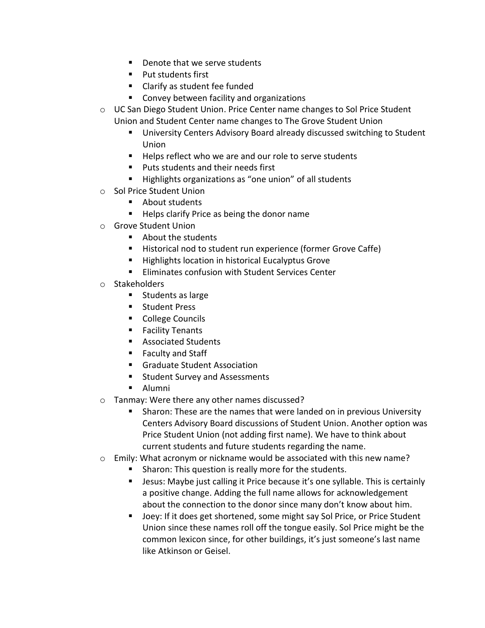- Denote that we serve students
- Put students first
- Clarify as student fee funded
- Convey between facility and organizations
- $\circ$  UC San Diego Student Union. Price Center name changes to Sol Price Student Union and Student Center name changes to The Grove Student Union
	- University Centers Advisory Board already discussed switching to Student Union
	- Helps reflect who we are and our role to serve students
	- Puts students and their needs first
	- Highlights organizations as "one union" of all students
- o Sol Price Student Union
	- About students
	- Helps clarify Price as being the donor name
- o Grove Student Union
	- About the students
	- Historical nod to student run experience (former Grove Caffe)
	- Highlights location in historical Eucalyptus Grove
	- Eliminates confusion with Student Services Center
- o Stakeholders
	- Students as large
	- Student Press
	- College Councils
	- Facility Tenants
	- Associated Students
	- Faculty and Staff
	- Graduate Student Association
	- Student Survey and Assessments
	- Alumni
- o Tanmay: Were there any other names discussed?
	- Sharon: These are the names that were landed on in previous University Centers Advisory Board discussions of Student Union. Another option was Price Student Union (not adding first name). We have to think about current students and future students regarding the name.
- o Emily: What acronym or nickname would be associated with this new name?
	- Sharon: This question is really more for the students.
	- Jesus: Maybe just calling it Price because it's one syllable. This is certainly a positive change. Adding the full name allows for acknowledgement about the connection to the donor since many don't know about him.
	- Joey: If it does get shortened, some might say Sol Price, or Price Student Union since these names roll off the tongue easily. Sol Price might be the common lexicon since, for other buildings, it's just someone's last name like Atkinson or Geisel.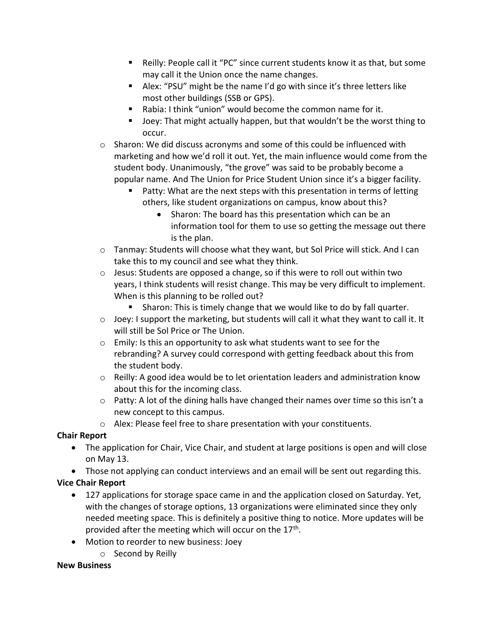- Reilly: People call it "PC" since current students know it as that, but some may call it the Union once the name changes.
- Alex: "PSU" might be the name I'd go with since it's three letters like most other buildings (SSB or GPS).
- Rabia: I think "union" would become the common name for it.
- Joey: That might actually happen, but that wouldn't be the worst thing to occur.
- $\circ$  Sharon: We did discuss acronyms and some of this could be influenced with marketing and how we'd roll it out. Yet, the main influence would come from the student body. Unanimously, "the grove" was said to be probably become a popular name. And The Union for Price Student Union since it's a bigger facility.
	- Patty: What are the next steps with this presentation in terms of letting others, like student organizations on campus, know about this?
		- Sharon: The board has this presentation which can be an information tool for them to use so getting the message out there is the plan.
- $\circ$  Tanmay: Students will choose what they want, but Sol Price will stick. And I can take this to my council and see what they think.
- $\circ$  Jesus: Students are opposed a change, so if this were to roll out within two years, I think students will resist change. This may be very difficult to implement. When is this planning to be rolled out?
	- Sharon: This is timely change that we would like to do by fall quarter.
- $\circ$  Joey: I support the marketing, but students will call it what they want to call it. It will still be Sol Price or The Union.
- o Emily: Is this an opportunity to ask what students want to see for the rebranding? A survey could correspond with getting feedback about this from the student body.
- $\circ$  Reilly: A good idea would be to let orientation leaders and administration know about this for the incoming class.
- $\circ$  Patty: A lot of the dining halls have changed their names over time so this isn't a new concept to this campus.
- o Alex: Please feel free to share presentation with your constituents.

# **Chair Report**

- The application for Chair, Vice Chair, and student at large positions is open and will close on May 13.
- Those not applying can conduct interviews and an email will be sent out regarding this.

# **Vice Chair Report**

- 127 applications for storage space came in and the application closed on Saturday. Yet, with the changes of storage options, 13 organizations were eliminated since they only needed meeting space. This is definitely a positive thing to notice. More updates will be provided after the meeting which will occur on the 17<sup>th</sup>.
- Motion to reorder to new business: Joey
	- o Second by Reilly

## **New Business**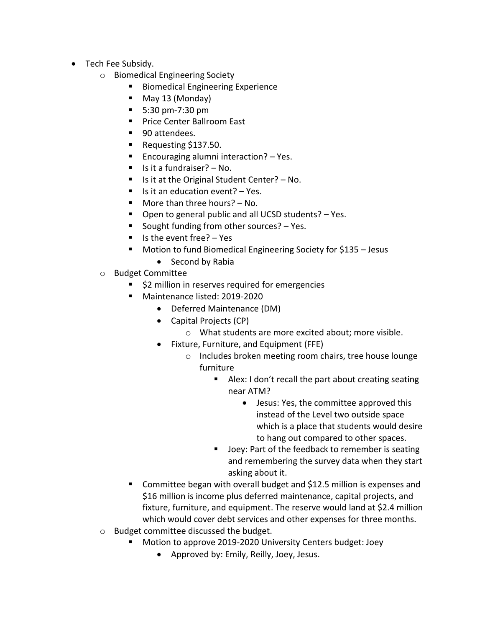- Tech Fee Subsidy.
	- o Biomedical Engineering Society
		- Biomedical Engineering Experience
		- May 13 (Monday)
		- 5:30 pm-7:30 pm
		- Price Center Ballroom East
		- 90 attendees.
		- Requesting \$137.50.
		- Encouraging alumni interaction? Yes.
		- $\blacksquare$  Is it a fundraiser? No.
		- Is it at the Original Student Center? No.
		- $\blacksquare$  Is it an education event? Yes.
		- $\blacksquare$  More than three hours?  $\blacksquare$  No.
		- Open to general public and all UCSD students? Yes.
		- Sought funding from other sources?  $-$  Yes.
		- $\blacksquare$  Is the event free? Yes
		- Motion to fund Biomedical Engineering Society for \$135 Jesus
			- Second by Rabia
	- o Budget Committee
		- \$2 million in reserves required for emergencies
		- Maintenance listed: 2019-2020
			- Deferred Maintenance (DM)
			- Capital Projects (CP)
				- o What students are more excited about; more visible.
			- Fixture, Furniture, and Equipment (FFE)
				- o Includes broken meeting room chairs, tree house lounge furniture
					- Alex: I don't recall the part about creating seating near ATM?
						- Jesus: Yes, the committee approved this instead of the Level two outside space which is a place that students would desire to hang out compared to other spaces.
					- Joey: Part of the feedback to remember is seating and remembering the survey data when they start asking about it.
		- Committee began with overall budget and \$12.5 million is expenses and \$16 million is income plus deferred maintenance, capital projects, and fixture, furniture, and equipment. The reserve would land at \$2.4 million which would cover debt services and other expenses for three months.
	- o Budget committee discussed the budget.
		- Motion to approve 2019-2020 University Centers budget: Joey
			- Approved by: Emily, Reilly, Joey, Jesus.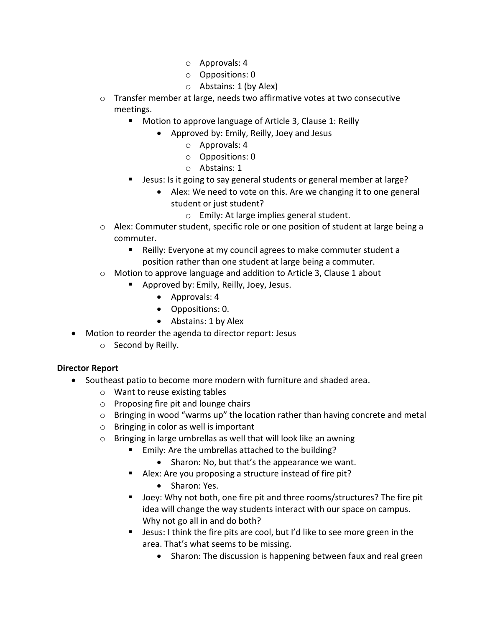- o Approvals: 4
- o Oppositions: 0
- $\circ$  Abstains: 1 (by Alex)
- $\circ$  Transfer member at large, needs two affirmative votes at two consecutive meetings.
	- Motion to approve language of Article 3, Clause 1: Reilly
		- Approved by: Emily, Reilly, Joey and Jesus
			- o Approvals: 4
			- o Oppositions: 0
			- o Abstains: 1
	- Jesus: Is it going to say general students or general member at large?
		- Alex: We need to vote on this. Are we changing it to one general student or just student?
			- o Emily: At large implies general student.
- o Alex: Commuter student, specific role or one position of student at large being a commuter.
	- Reilly: Everyone at my council agrees to make commuter student a position rather than one student at large being a commuter.
- $\circ$  Motion to approve language and addition to Article 3, Clause 1 about
	- Approved by: Emily, Reilly, Joey, Jesus.
		- Approvals: 4
		- Oppositions: 0.
		- Abstains: 1 by Alex
- Motion to reorder the agenda to director report: Jesus
	- o Second by Reilly.

## **Director Report**

- Southeast patio to become more modern with furniture and shaded area.
	- o Want to reuse existing tables
	- o Proposing fire pit and lounge chairs
	- $\circ$  Bringing in wood "warms up" the location rather than having concrete and metal
	- o Bringing in color as well is important
	- o Bringing in large umbrellas as well that will look like an awning
		- Emily: Are the umbrellas attached to the building?
			- Sharon: No, but that's the appearance we want.
		- Alex: Are you proposing a structure instead of fire pit?
			- Sharon: Yes.
		- Joey: Why not both, one fire pit and three rooms/structures? The fire pit idea will change the way students interact with our space on campus. Why not go all in and do both?
		- Jesus: I think the fire pits are cool, but I'd like to see more green in the area. That's what seems to be missing.
			- Sharon: The discussion is happening between faux and real green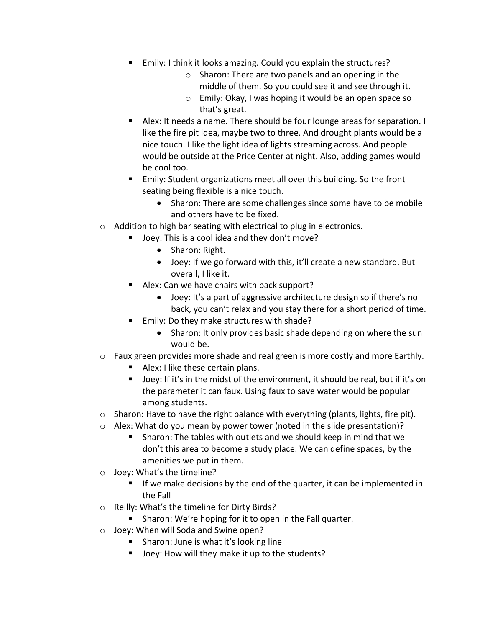- Emily: I think it looks amazing. Could you explain the structures?
	- o Sharon: There are two panels and an opening in the middle of them. So you could see it and see through it.
	- o Emily: Okay, I was hoping it would be an open space so that's great.
- Alex: It needs a name. There should be four lounge areas for separation. I like the fire pit idea, maybe two to three. And drought plants would be a nice touch. I like the light idea of lights streaming across. And people would be outside at the Price Center at night. Also, adding games would be cool too.
- Emily: Student organizations meet all over this building. So the front seating being flexible is a nice touch.
	- Sharon: There are some challenges since some have to be mobile and others have to be fixed.
- o Addition to high bar seating with electrical to plug in electronics.
	- Joey: This is a cool idea and they don't move?
		- Sharon: Right.
		- Joey: If we go forward with this, it'll create a new standard. But overall, I like it.
	- Alex: Can we have chairs with back support?
		- Joey: It's a part of aggressive architecture design so if there's no back, you can't relax and you stay there for a short period of time.
	- Emily: Do they make structures with shade?
		- Sharon: It only provides basic shade depending on where the sun would be.
- $\circ$  Faux green provides more shade and real green is more costly and more Earthly.
	- Alex: I like these certain plans.
	- Joey: If it's in the midst of the environment, it should be real, but if it's on the parameter it can faux. Using faux to save water would be popular among students.
- o Sharon: Have to have the right balance with everything (plants, lights, fire pit).
- $\circ$  Alex: What do you mean by power tower (noted in the slide presentation)?
	- Sharon: The tables with outlets and we should keep in mind that we don't this area to become a study place. We can define spaces, by the amenities we put in them.
- o Joey: What's the timeline?
	- If we make decisions by the end of the quarter, it can be implemented in the Fall
- o Reilly: What's the timeline for Dirty Birds?
	- Sharon: We're hoping for it to open in the Fall quarter.
- o Joey: When will Soda and Swine open?
	- Sharon: June is what it's looking line
	- Joey: How will they make it up to the students?